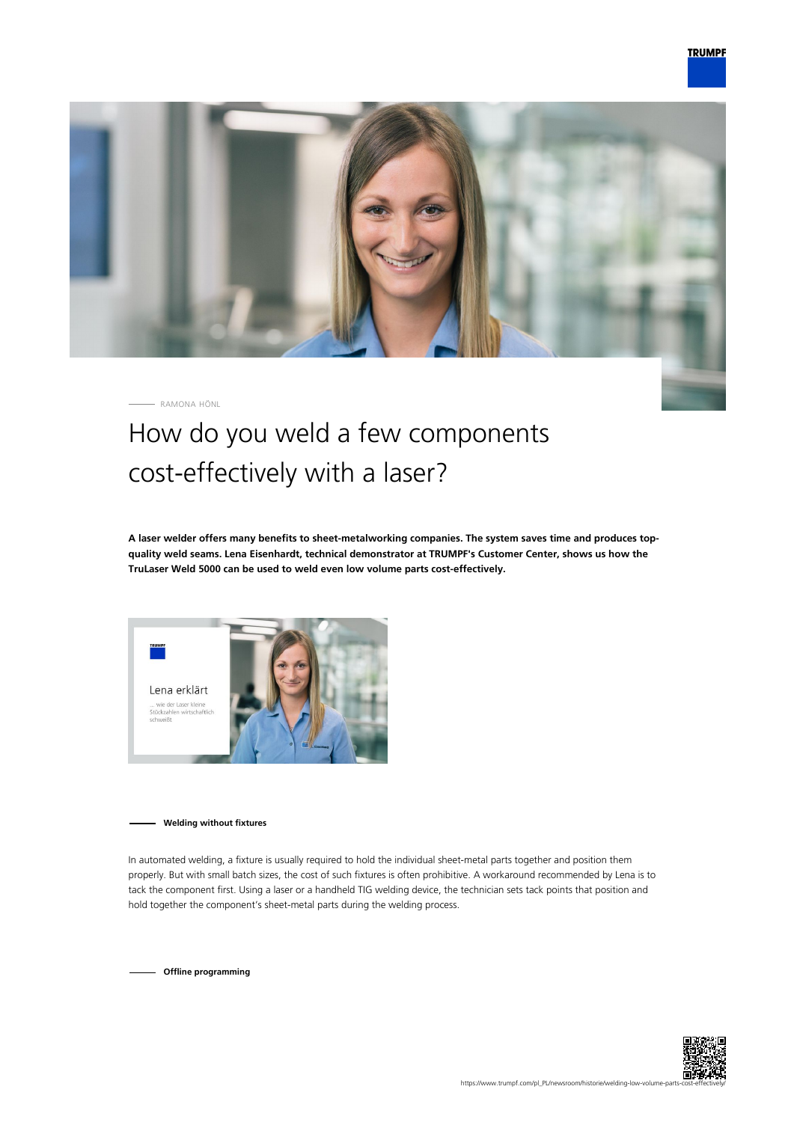

RAMONA HÖNL

## How do you weld a few components cost-effectively with a laser?

**A laser welder offers many benefits to sheet-metalworking companies. The system saves time and produces topquality weld seams. Lena Eisenhardt, technical demonstrator at TRUMPF's Customer Center, shows us how the TruLaser Weld 5000 can be used to weld even low volume parts cost-effectively.**



**Welding without fixtures**

In automated welding, a fixture is usually required to hold the individual sheet-metal parts together and position them properly. But with small batch sizes, the cost of such fixtures is often prohibitive. A workaround recommended by Lena is to tack the component first. Using a laser or a handheld TIG welding device, the technician sets tack points that position and hold together the component's sheet-metal parts during the welding process.

**Offline programming**